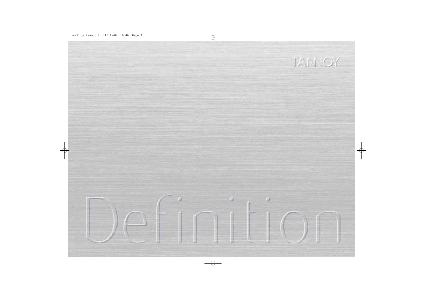

a G  $\omega$ ll. B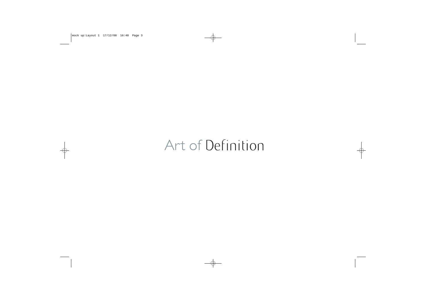## Art of Definition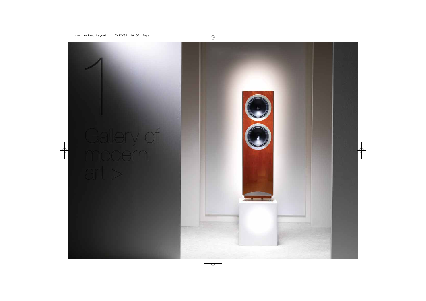# Gallery of modern-

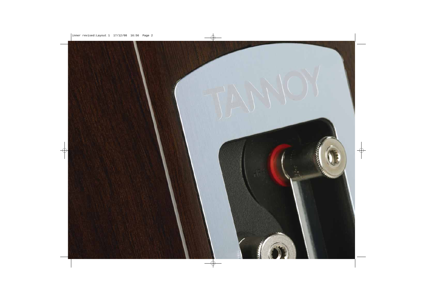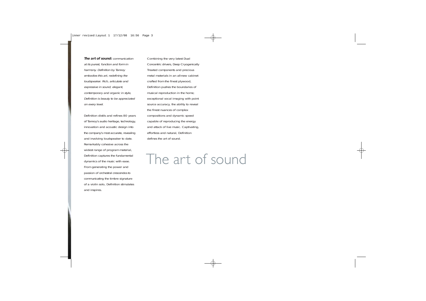**The art of sound: communication** at its purest, function and form in harmony. Definition by Tannoy embodies this art, redefining the loudspeaker. Rich, articulate and expressive in sound; elegant, contemporary and organic in style, Definition is beauty to be appreciated on every level.

Definition distils and refines 80 years of Tannoy's audio heritage, technology, innovation and acoustic design into the company's most accurate, revealing and involving loudspeaker to date. Remarkably cohesive across the widest range of program material, Definition captures the fundamental dynamics of the music with ease. From generating the power and passion of orchestral crescendos to communicating the timbre signature of a violin solo, Definition stimulates and inspires.

Combining the very latest Dual Concentric drivers, Deep Cryogenically Treated components and precious metal materials in an all-new cabinet crafted from the finest plywood, Definition pushes the boundaries of musical reproduction in the home; exceptional vocal imaging with point source accuracy, the ability to reveal the finest nuances of complex compositions and dynamic speed capable of reproducing the energy and attack of live music. Captivating, effortless and natural, Definition defines the art of sound.

### The art of sound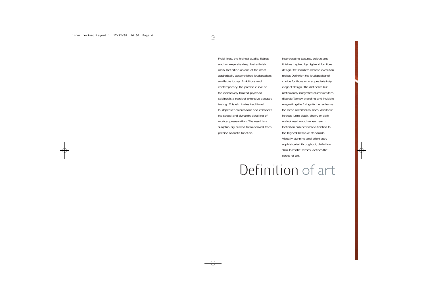Fluid lines, the highest quality fittings and an exquisite deep lustre finish mark Definition as one of the most aesthetically accomplished loudspeakers available today. Ambitious and contemporary, the precise curve on the extensively braced plywood cabinet is a result of extensive acoustic testing. This eliminates traditional loudspeaker colourations and enhances the speed and dynamic detailing of musical presentation. The result is a sumptuously curved form derived from precise acoustic function.

Incorporating textures, colours and finishes inspired by high-end furniture design, the seamless creative execution makes Definition the loudspeaker of choice for those who appreciate truly elegant design. The distinctive but meticulously integrated aluminium trim, discrete Tannoy branding and invisible magnetic grille fixings further enhance the clean architectural lines. Available in deep-lustre black, cherry or dark walnut real wood veneer, each Definition cabinet is hand-finished to the highest bespoke standards. Visually stunning and effortlessly sophisticated throughout, definition stimulates the senses, defines the sound of art.

### Definition of art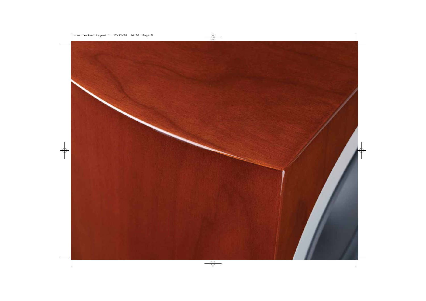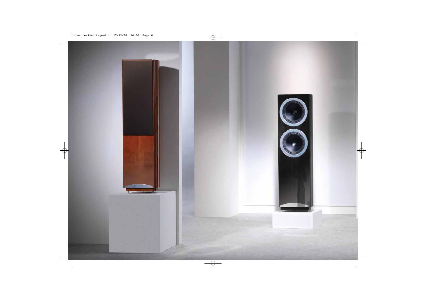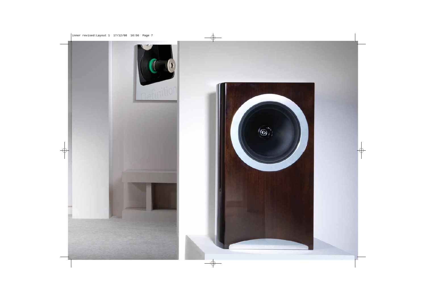

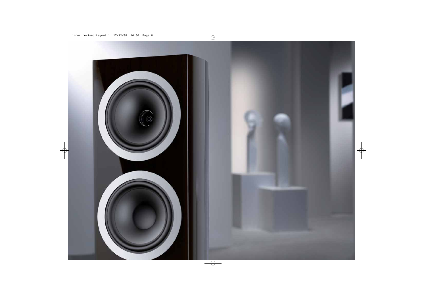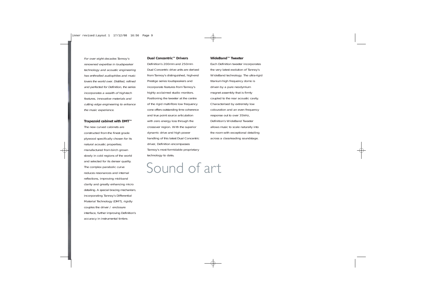For over eight decades Tannoy's renowned expertise in loudspeaker technology and acoustic engineering has enthralled audiophiles and music lovers the world over. Distilled, refined and perfected for Definition, the series incorporates a wealth of high-tech features, innovative materials and cutting edge engineering to enhance the music experience.

#### **Trapezoid cabinet with DMT™**

The new curved cabinets are constructed from the finest grade plywood specifically chosen for its natural acoustic properties; manufactured from birch grown slowly in cold regions of the world and selected for its denser quality. The complex parabolic curve reduces resonances and internal reflections, improving mid-band clarity and greatly enhancing micro detailing. A special bracing mechanism, incorporating Tannoy's Differential Material Technology (DMT), rigidly couples the driver / enclosure interface, further improving Definition's accuracy in instrumental timbre.

#### **Dual Concentric™ Drivers**

Definition's 200mm and 250mm Dual Concentric drive units are derived from Tannoy's distinguished, high-end Prestige series loudspeakers and incorporate features from Tannoy's highly acclaimed studio monitors. Positioning the tweeter at the centre of the rigid multi-fibre low frequency cone offers outstanding time coherence and true point source articulation with zero energy loss through the crossover region. With the superior dynamic drive and high power handling of this latest Dual Concentric driver, Definition encompasses Tannoy's most formidable proprietary technology to date**.**

Sound of art

#### **WideBand™ Tweeter**

Each Definition tweeter incorporates the very latest evolution of Tannoy's WideBand technology. The ultra-rigid titanium high frequency dome is driven by a pure neodymium magnet assembly that is firmly coupled to the rear acoustic cavity. Characterised by extremely low colouration and an even frequency response out to over 35kHz, Definition's WideBand Tweeter allows music to scale naturally into the room with exceptional detailing across a class-leading soundstage.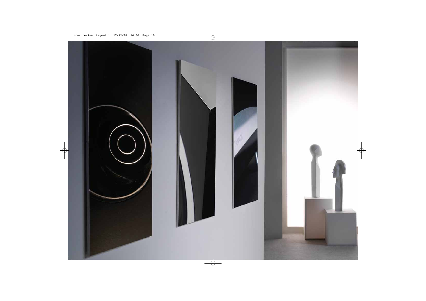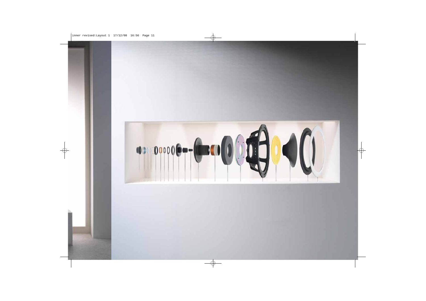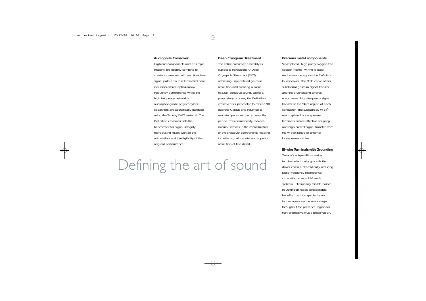#### **Audiophile Crossover**

High-end components and a 'simple, straight' philosophy combine to create a crossover with an ultra-clean signal path. Low loss laminated core inductors ensure optimum low frequency performance while the high frequency network's audiophile-grade polypropylene capacitors are acoustically damped using the Tannoy DMT material. The Definition crossover sets the benchmark for signal integrity, reproducing music with all the articulation and intelligibility of the original performance.

#### **Deep Cryogenic Treatment**

The entire crossover assembly is subject to revolutionary Deep Cryogenic Treatment (DCT), achieving unparalleled gains in resolution and creating a more natural, cohesive sound. Using a proprietary process, the Definition crossover is super-cooled to minus 190 degrees Celsius and returned to room temperature over a controlled period. This permanently reduces internal stresses in the microstructure of the crossover components, leading to better signal transfer and superior resolution of fine detail.

### Defining the art of sound

#### **Precious metal components**

Silver-plated, high purity oxygen-free copper internal wiring is used exclusively throughout the Definition loudspeaker. The OFC cable offers substantial gains in signal transfer and the silver-plating affords unsurpassed high frequency signal transfer in the 'skin' region of each conductor. The substantial, WBT™ electro-plated brass speaker terminals ensure effective coupling and high current signal transfer from the widest range of external loudspeaker cables.

#### **Bi-wire Terminals with Grounding**

Tannoy's unique fifth speaker terminal electrically grounds the driver chassis, dramatically reducing radio frequency interference circulating in most hi-fi audio systems. Eliminating this RF 'noise' in Definition reaps considerable benefits in midrange clarity and further opens up the soundstage throughout the presence region for truly expressive music presentation.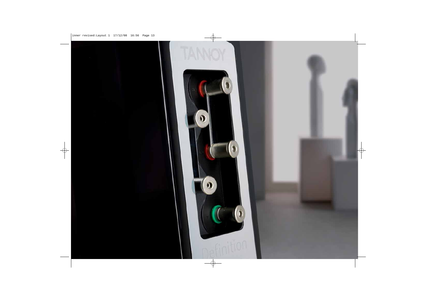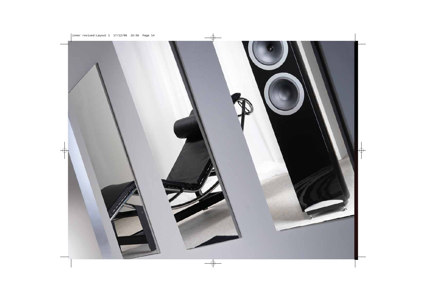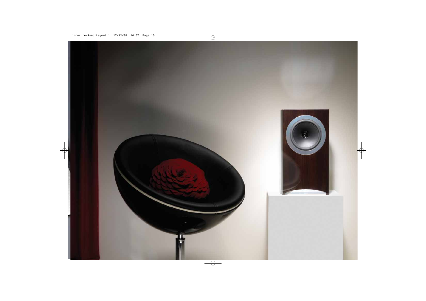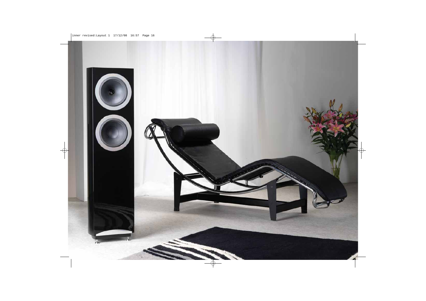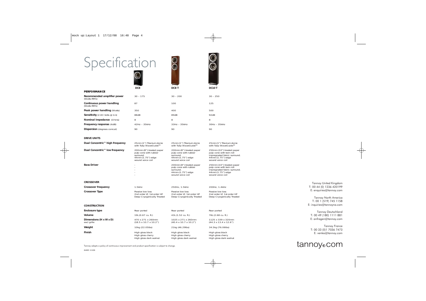| Specification                              | DC8                                                                                                     | DC8 T                                                                                                   | <b>DC10 T</b>                                                                                                                  |
|--------------------------------------------|---------------------------------------------------------------------------------------------------------|---------------------------------------------------------------------------------------------------------|--------------------------------------------------------------------------------------------------------------------------------|
| PERFORMANCE                                |                                                                                                         |                                                                                                         |                                                                                                                                |
| Recommended amplifier power<br>(Watts RMS) | $30 - 175$                                                                                              | $30 - 200$                                                                                              | $30 - 250$                                                                                                                     |
| Continuous power handling<br>(Watts RMS)   | 87                                                                                                      | 100                                                                                                     | 125                                                                                                                            |
| Peak power handling (Watts)                | 350                                                                                                     | 400                                                                                                     | 500                                                                                                                            |
| <b>Sensitivity</b> (2.83 Volts $@$ 1m)     | 88dB                                                                                                    | 89dB                                                                                                    | 92dB                                                                                                                           |
| Nominal Impedance (Ohms)                   | 8                                                                                                       | 8                                                                                                       | 8                                                                                                                              |
| <b>Frequency response (-6dB)</b>           | $42Hz - 35kHz$                                                                                          | $33Hz - 35kHz$                                                                                          | $30Hz - 35kHz$                                                                                                                 |
| <b>Dispersion</b> (degrees conical)        | 90                                                                                                      | 90                                                                                                      | 90                                                                                                                             |
| <b>DRIVE UNITS</b>                         |                                                                                                         |                                                                                                         |                                                                                                                                |
| Dual Concentric™ high frequency            | 25mm (1") Titanium dome<br>with Tulip WaveGuide™                                                        | 25mm (1") Titanium dome<br>with Tulip WaveGuide™                                                        | 25mm (1") Titanium dome<br>with Tulip WaveGuide™                                                                               |
| Dual Concentric™ low frequency             | 200mm (8") treated paper<br>pulp cone with rubber<br>surround.<br>44mm (1.75") edge<br>wound voice coil | 200mm (8") treated paper<br>pulp cone with rubber<br>surround.<br>44mm (1.75") edge<br>wound voice coil | 250mm (10") treated paper<br>pulp cone with twin roll<br>impregnated fabric surround.<br>44mm (1.75") edge<br>wound voice coil |
| Bass Driver                                |                                                                                                         | 200mm (8") treated paper<br>pulp cone with rubber<br>surround.<br>44mm (1.75") edge<br>wound voice coil | 250mm (10") treated paper<br>pulp cone with twin roll<br>impregnated fabric surround.<br>44mm (1.75") edge<br>wound voice coil |
| CROSSOVER                                  |                                                                                                         |                                                                                                         |                                                                                                                                |
| <b>Crossover frequency</b>                 | 1.5kHz                                                                                                  | 250Hz, 1.5kHz                                                                                           | 200Hz, 1.4kHz                                                                                                                  |
| <b>Crossover Type</b>                      | Passive low loss<br>2nd order LF, 1st order HF<br>Deep Cryogenically Treated                            | Passive low loss<br>2nd order LF, 1st order HF<br>Deep Cryogenically Treated                            | Passive low loss<br>2nd order LF, 1st order HF<br>Deep Cryogenically Treated                                                   |
| <b>CONSTRUCTION</b>                        |                                                                                                         |                                                                                                         |                                                                                                                                |
| Enclosure type                             | Rear ported                                                                                             | Rear ported                                                                                             | Rear ported                                                                                                                    |
| Volume                                     | 19L (0.67 cu. ft.)                                                                                      | 43L (1.52 cu. ft.)                                                                                      | 76L (2.68 cu. ft.)                                                                                                             |
| Dimensions (H x W x D)<br>excl grille      | 470 x 271 x 260mm<br>$(18.5 \times 10.7 \times 10.2)$                                                   | 1025 x 271 x 260mm<br>$(40.4 \times 10.7 \times 10.2)$                                                  | 1125 x 339 x 320mm<br>$(44.3 \times 13.4 \times 12.6)$                                                                         |
| Weight                                     | 10kg (22.05lbs)                                                                                         | 21kg (46.29lbs)                                                                                         | 34.5kg (76.06lbs)                                                                                                              |
| Finish                                     | High gloss black<br>High gloss cherry<br>High gloss dark walnut                                         | High gloss black<br>High gloss cherry<br>High gloss dark walnut                                         | High gloss black<br>High gloss cherry<br>High gloss dark walnut                                                                |

Tannoy United Kingdom T: 00 44 (0) 1236 420199 E: enquiries@tannoy.com

Tannoy North America T: 00 1 (519) 745 1158 E: inquiries@tannoyna.com

Tannoy Deutschland T: 00 49 (180) 1111 881 E: anfragen@tannoy.com

Tannoy France T: 00 33 (0)1 7036 7473 E: ventes@tannoy.com

### tannoy®com

Tannoy adopts a policy of continuous improvement and product specification is subject to change.